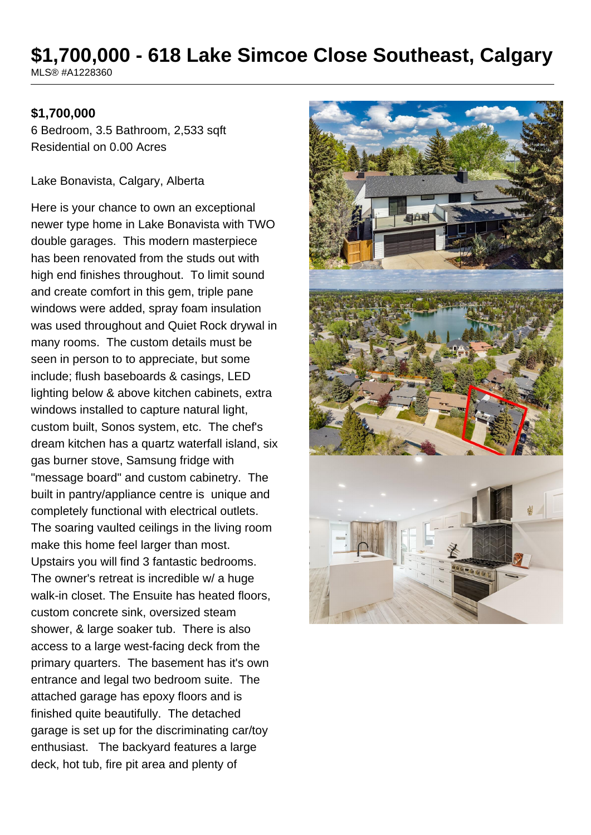# **\$1,700,000 - 618 Lake Simcoe Close Southeast, Calgary**

MLS® #A1228360

#### **\$1,700,000**

6 Bedroom, 3.5 Bathroom, 2,533 sqft Residential on 0.00 Acres

Lake Bonavista, Calgary, Alberta

Here is your chance to own an exceptional newer type home in Lake Bonavista with TWO double garages. This modern masterpiece has been renovated from the studs out with high end finishes throughout. To limit sound and create comfort in this gem, triple pane windows were added, spray foam insulation was used throughout and Quiet Rock drywal in many rooms. The custom details must be seen in person to to appreciate, but some include; flush baseboards & casings, LED lighting below & above kitchen cabinets, extra windows installed to capture natural light, custom built, Sonos system, etc. The chef's dream kitchen has a quartz waterfall island, six gas burner stove, Samsung fridge with "message board" and custom cabinetry. The built in pantry/appliance centre is unique and completely functional with electrical outlets. The soaring vaulted ceilings in the living room make this home feel larger than most. Upstairs you will find 3 fantastic bedrooms. The owner's retreat is incredible w/ a huge walk-in closet. The Ensuite has heated floors, custom concrete sink, oversized steam shower, & large soaker tub. There is also access to a large west-facing deck from the primary quarters. The basement has it's own entrance and legal two bedroom suite. The attached garage has epoxy floors and is finished quite beautifully. The detached garage is set up for the discriminating car/toy enthusiast. The backyard features a large deck, hot tub, fire pit area and plenty of

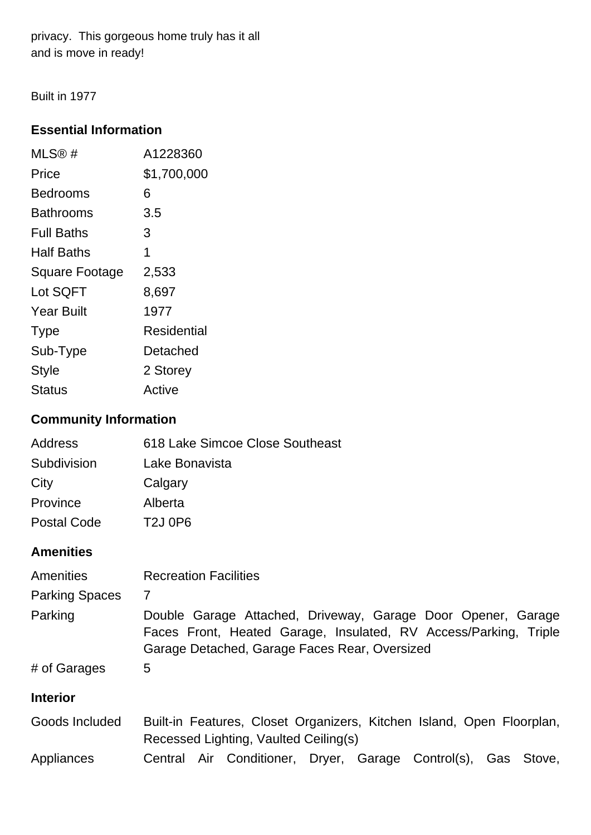privacy. This gorgeous home truly has it all and is move in ready!

Built in 1977

#### **Essential Information**

| $MLS@$ #              | A1228360    |
|-----------------------|-------------|
| Price                 | \$1,700,000 |
| Bedrooms              | 6           |
| Bathrooms             | 3.5         |
| <b>Full Baths</b>     | 3           |
| <b>Half Baths</b>     | 1           |
| <b>Square Footage</b> | 2,533       |
| Lot SQFT              | 8,697       |
| <b>Year Built</b>     | 1977        |
| <b>Type</b>           | Residential |
| Sub-Type              | Detached    |
| <b>Style</b>          | 2 Storey    |
| Status                | Active      |

### **Community Information**

| 618 Lake Simcoe Close Southeast  |
|----------------------------------|
| Lake Bonavista                   |
| Calgary                          |
| Alberta                          |
| T <sub>2</sub> J 0P <sub>6</sub> |
|                                  |

#### **Amenities**

| Amenities             | <b>Recreation Facilities</b>                                                                                                                                                      |  |  |
|-----------------------|-----------------------------------------------------------------------------------------------------------------------------------------------------------------------------------|--|--|
| <b>Parking Spaces</b> | 7                                                                                                                                                                                 |  |  |
| Parking               | Double Garage Attached, Driveway, Garage Door Opener, Garage<br>Faces Front, Heated Garage, Insulated, RV Access/Parking, Triple<br>Garage Detached, Garage Faces Rear, Oversized |  |  |
| # of Garages          | 5                                                                                                                                                                                 |  |  |
| <b>Interior</b>       |                                                                                                                                                                                   |  |  |
| Goods Included        | Built-in Features, Closet Organizers, Kitchen Island, Open Floorplan,<br>Recessed Lighting, Vaulted Ceiling(s)                                                                    |  |  |
| Appliances            | Central Air Conditioner, Dryer, Garage Control(s), Gas Stove,                                                                                                                     |  |  |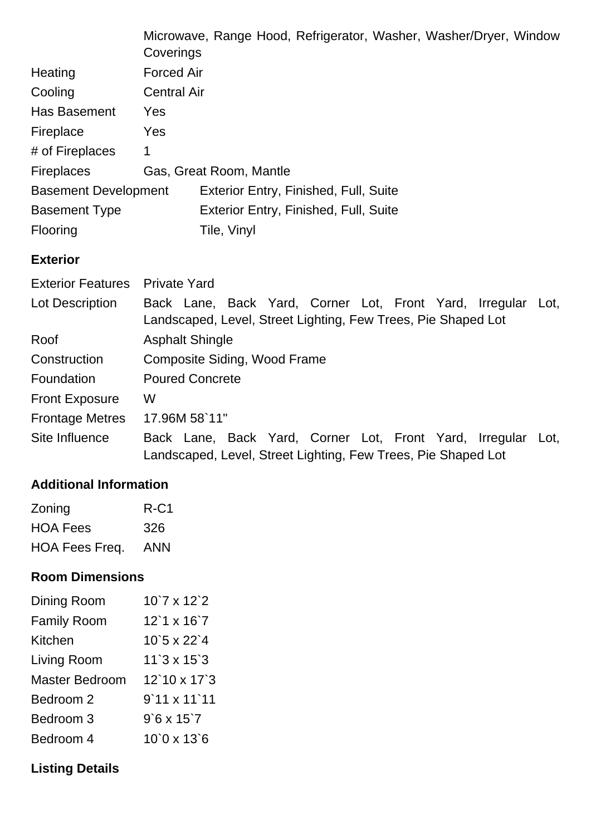|                             | Microwave, Range Hood, Refrigerator, Washer, Washer/Dryer, Window<br>Coverings                                                |  |
|-----------------------------|-------------------------------------------------------------------------------------------------------------------------------|--|
| Heating                     | <b>Forced Air</b>                                                                                                             |  |
| Cooling                     | <b>Central Air</b>                                                                                                            |  |
| Has Basement                | <b>Yes</b>                                                                                                                    |  |
| Fireplace                   | <b>Yes</b>                                                                                                                    |  |
| # of Fireplaces             | 1                                                                                                                             |  |
| <b>Fireplaces</b>           | Gas, Great Room, Mantle                                                                                                       |  |
| <b>Basement Development</b> | Exterior Entry, Finished, Full, Suite                                                                                         |  |
| <b>Basement Type</b>        | Exterior Entry, Finished, Full, Suite                                                                                         |  |
| Flooring                    | Tile, Vinyl                                                                                                                   |  |
| <b>Exterior</b>             |                                                                                                                               |  |
| <b>Exterior Features</b>    | <b>Private Yard</b>                                                                                                           |  |
| Lot Description             | Back Lane, Back Yard, Corner Lot, Front Yard, Irregular Lot,<br>Landscaped, Level, Street Lighting, Few Trees, Pie Shaped Lot |  |

| Roof                   | <b>Asphalt Shingle</b>                                                                                                        |  |  |
|------------------------|-------------------------------------------------------------------------------------------------------------------------------|--|--|
| Construction           | Composite Siding, Wood Frame                                                                                                  |  |  |
| Foundation             | <b>Poured Concrete</b>                                                                                                        |  |  |
| <b>Front Exposure</b>  | W                                                                                                                             |  |  |
| <b>Frontage Metres</b> | 17.96M 58`11"                                                                                                                 |  |  |
| Site Influence         | Back Lane, Back Yard, Corner Lot, Front Yard, Irregular Lot,<br>Landscaped, Level, Street Lighting, Few Trees, Pie Shaped Lot |  |  |

#### **Additional Information**

| Zoning                | $R-C1$     |
|-----------------------|------------|
| <b>HOA Fees</b>       | 326        |
| <b>HOA Fees Freq.</b> | <b>ANN</b> |

## **Room Dimensions**

| Dining Room           | $10'7 \times 12'2$               |
|-----------------------|----------------------------------|
| <b>Family Room</b>    | $12'1 \times 16'7$               |
| Kitchen               | $10^{\circ}5 \times 22^{\circ}4$ |
| Living Room           | $11'3 \times 15'3$               |
| <b>Master Bedroom</b> | $12'10 \times 17'3$              |
| Bedroom 2             | $9'11 \times 11'11$              |
| Bedroom 3             | $9'6 \times 15'7$                |
| Bedroom 4             | $10^{\circ}$ 0 x $13^{\circ}$ 6  |

# **Listing Details**